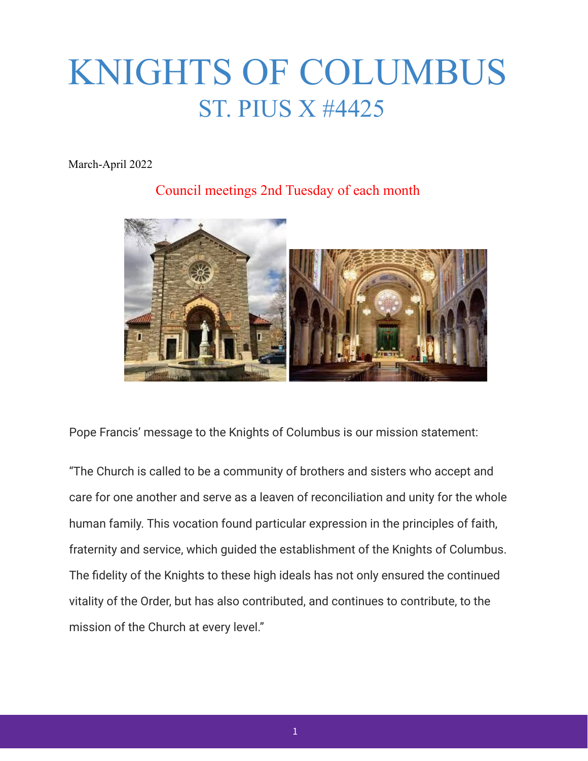# KNIGHTS OF COLUMBUS ST. PIUS X #4425

March-April 2022

### Council meetings 2nd Tuesday of each month



Pope Francis' message to the Knights of Columbus is our mission statement:

"The Church is called to be a community of brothers and sisters who accept and care for one another and serve as a leaven of reconciliation and unity for the whole human family. This vocation found particular expression in the principles of faith, fraternity and service, which guided the establishment of the Knights of Columbus. The fidelity of the Knights to these high ideals has not only ensured the continued vitality of the Order, but has also contributed, and continues to contribute, to the mission of the Church at every level."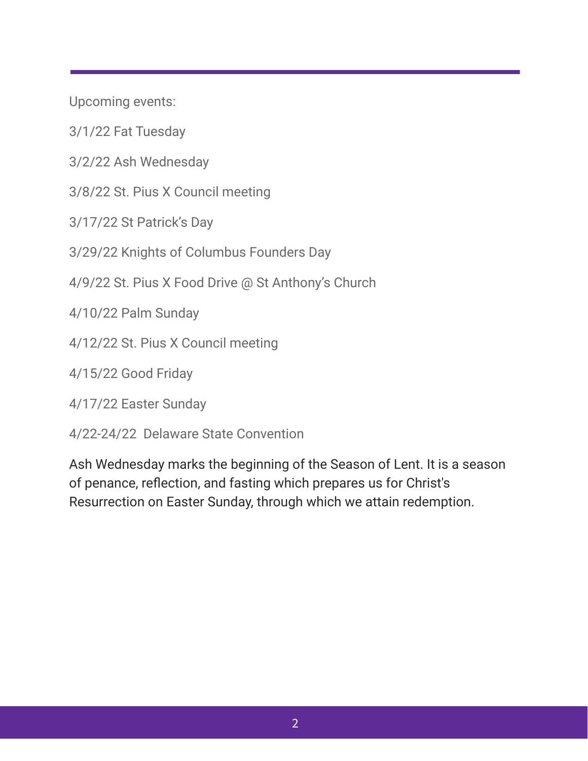Upcoming events:

3/1/22 Fat Tuesday

3/2/22 Ash Wednesday

3/8/22 St. Pius X Council meeting

3/17/22 St Patrick's Day

3/29/22 Knights of Columbus Founders Day

4/9/22 St. Pius X Food Drive @ St Anthony's Church

4/10/22 Palm Sunday

4/12/22 St. Pius X Council meeting

4/15/22 Good Friday

4/17/22 Easter Sunday

4/22-24/22 Delaware State Convention

Ash Wednesday marks the beginning of the Season of Lent. It is a season of penance, reflection, and fasting which prepares us for Christ's Resurrection on Easter Sunday, through which we attain redemption.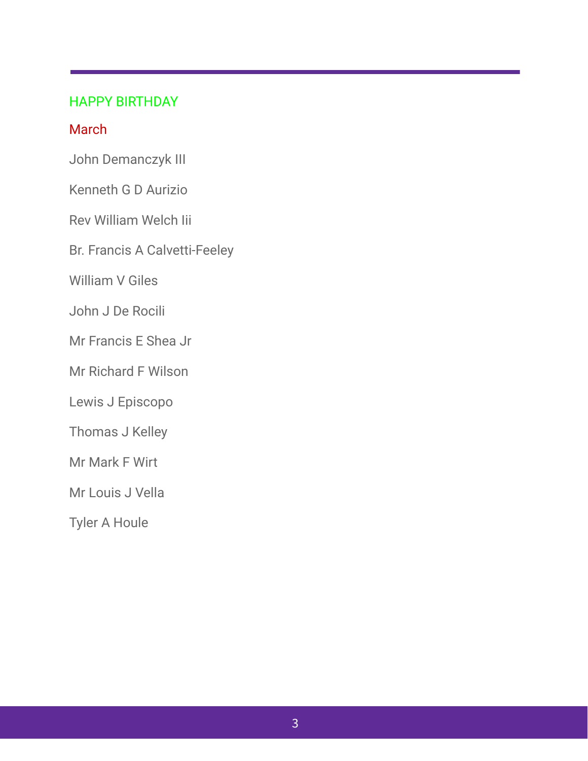#### HAPPY BIRTHDAY

#### **March**

John Demanczyk III

Kenneth G D Aurizio

Rev William Welch Iii

Br. Francis A Calvetti-Feeley

William V Giles

John J De Rocili

Mr Francis E Shea Jr

Mr Richard F Wilson

Lewis J Episcopo

Thomas J Kelley

Mr Mark F Wirt

Mr Louis J Vella

Tyler A Houle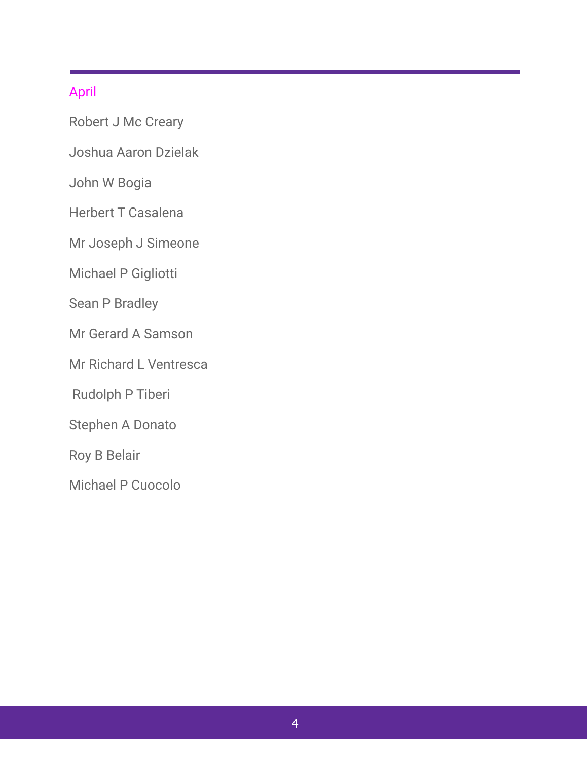#### April

Robert J Mc Creary

Joshua Aaron Dzielak

John W Bogia

Herbert T Casalena

Mr Joseph J Simeone

Michael P Gigliotti

Sean P Bradley

Mr Gerard A Samson

Mr Richard L Ventresca

Rudolph P Tiberi

Stephen A Donato

Roy B Belair

Michael P Cuocolo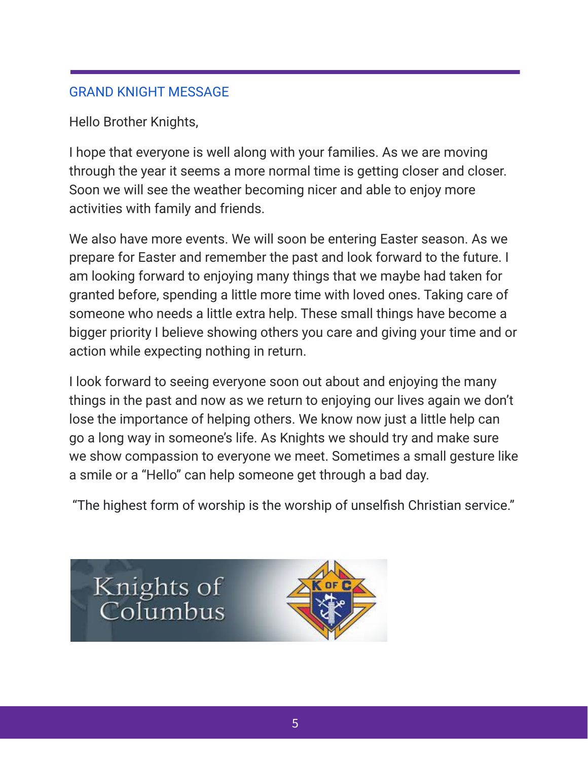## GRAND KNIGHT MESSAGE

Hello Brother Knights,

I hope that everyone is well along with your families. As we are moving through the year it seems a more normal time is getting closer and closer. Soon we will see the weather becoming nicer and able to enjoy more activities with family and friends.

We also have more events. We will soon be entering Easter season. As we prepare for Easter and remember the past and look forward to the future. I am looking forward to enjoying many things that we maybe had taken for granted before, spending a little more time with loved ones. Taking care of someone who needs a little extra help. These small things have become a bigger priority I believe showing others you care and giving your time and or action while expecting nothing in return.

I look forward to seeing everyone soon out about and enjoying the many things in the past and now as we return to enjoying our lives again we don't lose the importance of helping others. We know now just a little help can go a long way in someone's life. As Knights we should try and make sure we show compassion to everyone we meet. Sometimes a small gesture like a smile or a "Hello" can help someone get through a bad day.

"The highest form of worship is the worship of unselfish Christian service."

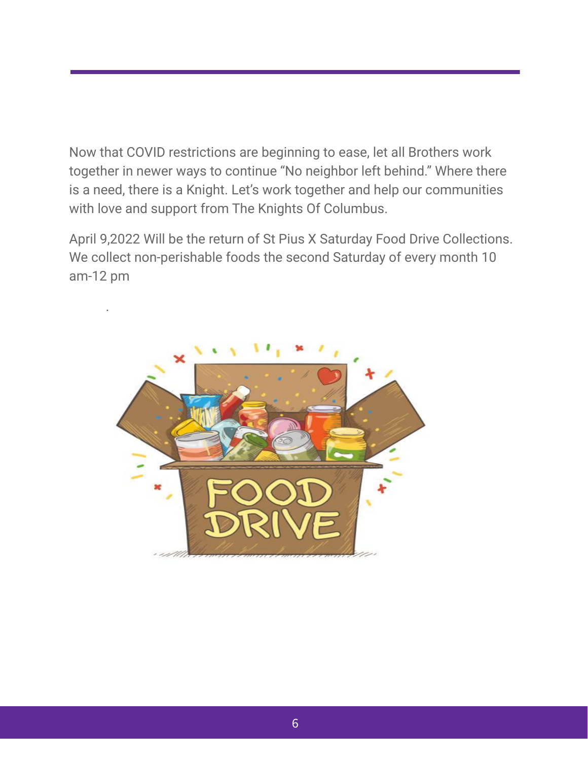Now that COVID restrictions are beginning to ease, let all Brothers work together in newer ways to continue "No neighbor left behind." Where there is a need, there is a Knight. Let's work together and help our communities with love and support from The Knights Of Columbus.

April 9,2022 Will be the return of St Pius X Saturday Food Drive Collections. We collect non-perishable foods the second Saturday of every month 10 am-12 pm



.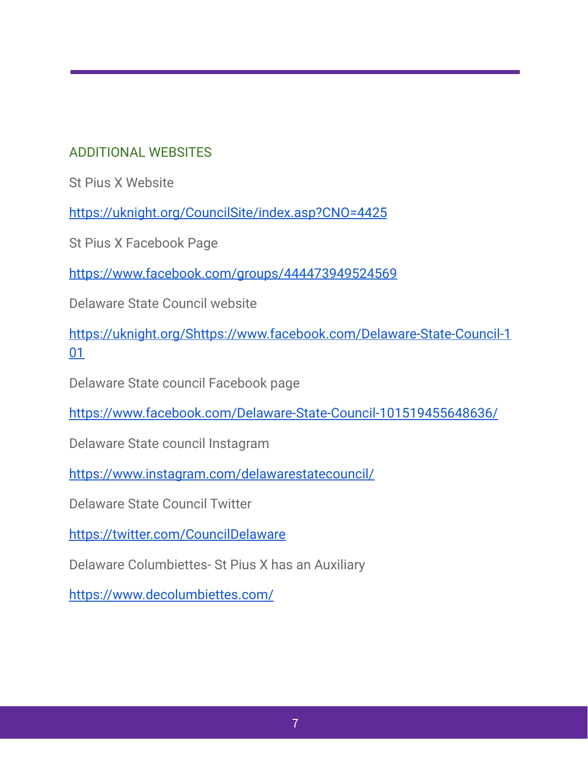## ADDITIONAL WEBSITES

St Pius X Website

<https://uknight.org/CouncilSite/index.asp?CNO=4425>

St Pius X Facebook Page

<https://www.facebook.com/groups/444473949524569>

Delaware State Council website

[https://uknight.org/Shttps://www.facebook.com/Delaware-State-Council-1](https://uknight.org/StateCouncilSite/links.asp?CN=US&ST=DE) [01](https://uknight.org/StateCouncilSite/links.asp?CN=US&ST=DE)

Delaware State council Facebook page

<https://www.facebook.com/Delaware-State-Council-101519455648636/>

Delaware State council Instagram

<https://www.instagram.com/delawarestatecouncil/>

Delaware State Council Twitter

<https://twitter.com/CouncilDelaware>

Delaware Columbiettes- St Pius X has an Auxiliary

<https://www.decolumbiettes.com/>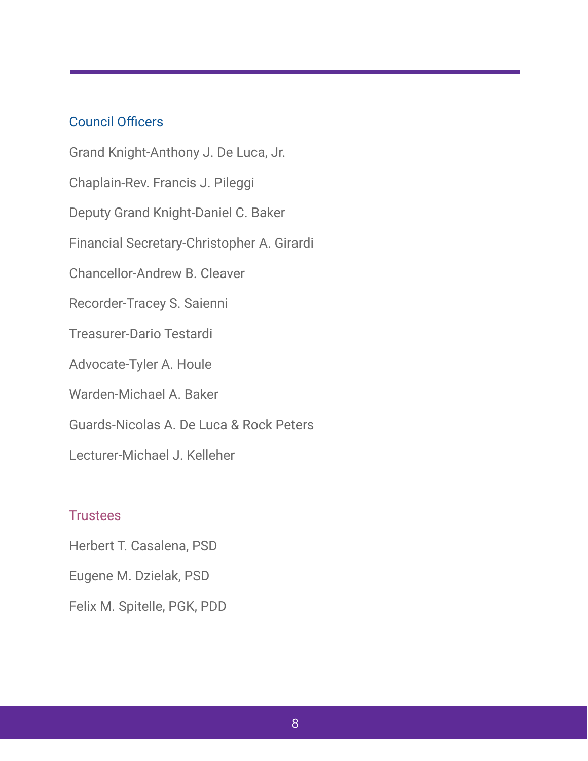#### Council Officers

Grand Knight-Anthony J. De Luca, Jr. Chaplain-Rev. Francis J. Pileggi Deputy Grand Knight-Daniel C. Baker Financial Secretary-Christopher A. Girardi Chancellor-Andrew B. Cleaver Recorder-Tracey S. Saienni Treasurer-Dario Testardi Advocate-Tyler A. Houle Warden-Michael A. Baker Guards-Nicolas A. De Luca & Rock Peters Lecturer-Michael J. Kelleher

# **Trustees**

Herbert T. Casalena, PSD

Eugene M. Dzielak, PSD

Felix M. Spitelle, PGK, PDD